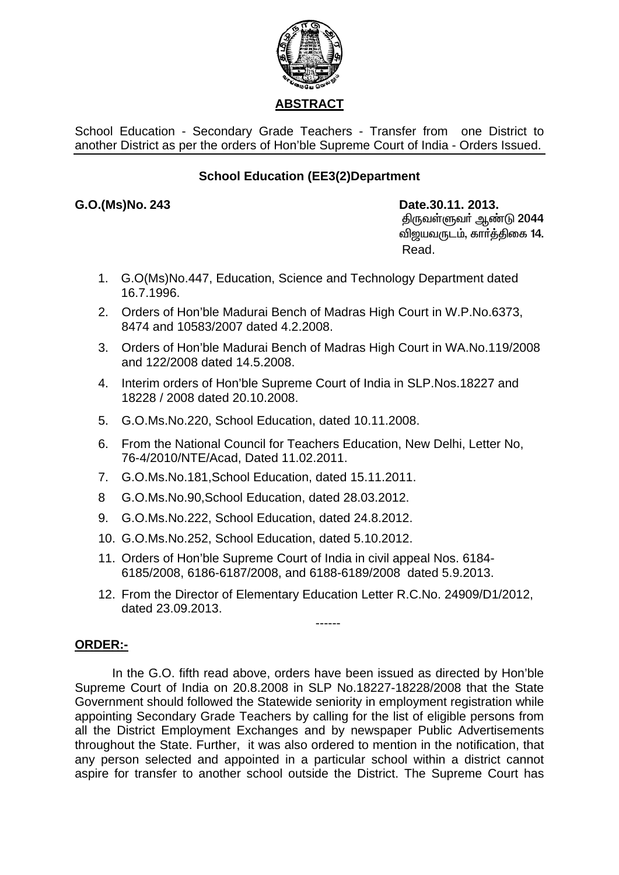

# **ABSTRACT**

School Education - Secondary Grade Teachers - Transfer from one District to another District as per the orders of Hon'ble Supreme Court of India - Orders Issued.

# **School Education (EE3(2)Department**

## G.O.(Ms)No. 243

## Date.30.11. 2013.

திருவள்ளுவா் ஆண்டு 2044 விறயவருடம். கார்க்கிகை 14. Read.

- 1. G.O(Ms)No.447, Education, Science and Technology Department dated 16.7.1996.
- 2. Orders of Hon'ble Madurai Bench of Madras High Court in W.P.No.6373, 8474 and 10583/2007 dated 4.2.2008.
- 3. Orders of Hon'ble Madurai Bench of Madras High Court in WA. No. 119/2008 and 122/2008 dated 14.5.2008.
- 4. Interim orders of Hon'ble Supreme Court of India in SLP. Nos. 18227 and 18228 / 2008 dated 20.10.2008.
- 5. G.O.Ms.No.220, School Education, dated 10.11.2008.
- $6.$ From the National Council for Teachers Education, New Delhi, Letter No, 76-4/2010/NTE/Acad, Dated 11.02.2011.
- 7. G.O.Ms.No.181, School Education, dated 15.11.2011.
- 8 G.O.Ms.No.90, School Education, dated 28.03.2012.
- 9. G.O.Ms.No.222, School Education, dated 24.8.2012.
- 10. G.O.Ms.No.252, School Education, dated 5.10.2012.
- 11. Orders of Hon'ble Supreme Court of India in civil appeal Nos. 6184-6185/2008, 6186-6187/2008, and 6188-6189/2008 dated 5.9.2013.
- 12. From the Director of Elementary Education Letter R.C.No. 24909/D1/2012, dated 23.09.2013.

 $\frac{1}{2}$ 

# **ORDER:-**

In the G.O. fifth read above, orders have been issued as directed by Hon'ble Supreme Court of India on 20.8.2008 in SLP No.18227-18228/2008 that the State Government should followed the Statewide seniority in employment registration while appointing Secondary Grade Teachers by calling for the list of eligible persons from all the District Employment Exchanges and by newspaper Public Advertisements throughout the State. Further, it was also ordered to mention in the notification, that any person selected and appointed in a particular school within a district cannot aspire for transfer to another school outside the District. The Supreme Court has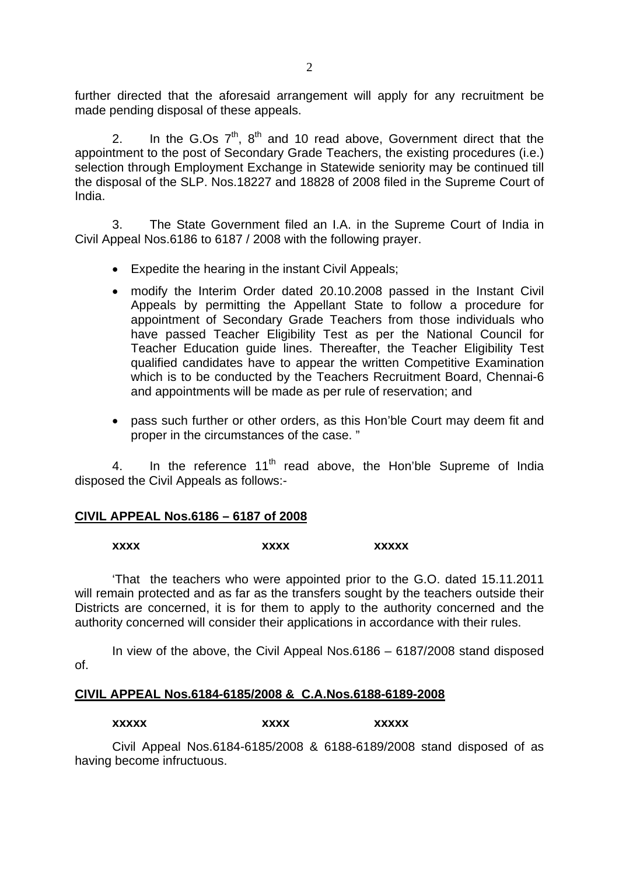further directed that the aforesaid arrangement will apply for any recruitment be made pending disposal of these appeals.

2. In the G.Os  $7<sup>th</sup>$ ,  $8<sup>th</sup>$  and 10 read above, Government direct that the appointment to the post of Secondary Grade Teachers, the existing procedures (i.e.) selection through Employment Exchange in Statewide seniority may be continued till the disposal of the SLP. Nos.18227 and 18828 of 2008 filed in the Supreme Court of India.

3. The State Government filed an I.A. in the Supreme Court of India in Civil Appeal Nos.6186 to 6187 / 2008 with the following prayer.

- Expedite the hearing in the instant Civil Appeals;
- modify the Interim Order dated 20.10.2008 passed in the Instant Civil Appeals by permitting the Appellant State to follow a procedure for appointment of Secondary Grade Teachers from those individuals who have passed Teacher Eligibility Test as per the National Council for Teacher Education guide lines. Thereafter, the Teacher Eligibility Test qualified candidates have to appear the written Competitive Examination which is to be conducted by the Teachers Recruitment Board, Chennai-6 and appointments will be made as per rule of reservation; and
- pass such further or other orders, as this Hon'ble Court may deem fit and proper in the circumstances of the case. "

4. In the reference 11<sup>th</sup> read above, the Hon'ble Supreme of India disposed the Civil Appeals as follows:-

### **CIVIL APPEAL Nos.6186 – 6187 of 2008**

#### **xxxx** xxxxx xxxxx

 'That the teachers who were appointed prior to the G.O. dated 15.11.2011 will remain protected and as far as the transfers sought by the teachers outside their Districts are concerned, it is for them to apply to the authority concerned and the authority concerned will consider their applications in accordance with their rules.

 In view of the above, the Civil Appeal Nos.6186 – 6187/2008 stand disposed of.

#### **CIVIL APPEAL Nos.6184-6185/2008 & C.A.Nos.6188-6189-2008**

#### **xxxxx** xxxxx xxxxx

 Civil Appeal Nos.6184-6185/2008 & 6188-6189/2008 stand disposed of as having become infructuous.